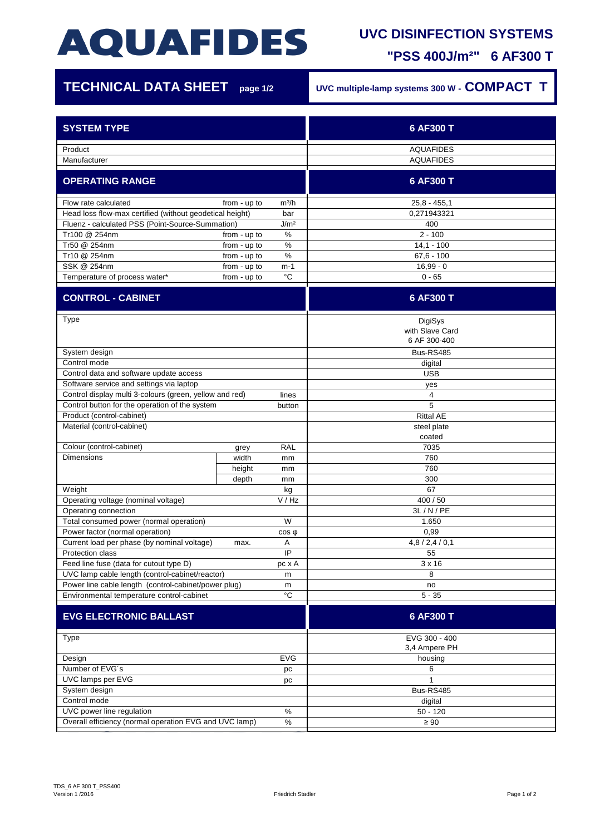# **AQUAFIDES**

### **UVC DISINFECTION SYSTEMS**

**"PSS 400J/m²" 6 AF300 T**

| <b>TECHNICAL DATA SHEET</b>                                                                                  | page 1/2                     | UVC multiple-lamp systems 300 W - COMPACT T |                                            |
|--------------------------------------------------------------------------------------------------------------|------------------------------|---------------------------------------------|--------------------------------------------|
| <b>SYSTEM TYPE</b>                                                                                           |                              |                                             | 6 AF300 T                                  |
| Product<br>Manufacturer                                                                                      |                              |                                             | <b>AQUAFIDES</b><br><b>AQUAFIDES</b>       |
| <b>OPERATING RANGE</b>                                                                                       |                              |                                             | 6 AF300 T                                  |
|                                                                                                              |                              |                                             |                                            |
| Flow rate calculated<br>from - up to<br>m <sup>3</sup> /h                                                    |                              |                                             | $25.8 - 455.1$                             |
| Head loss flow-max certified (without geodetical height)<br>bar                                              |                              |                                             | 0.271943321                                |
| Fluenz - calculated PSS (Point-Source-Summation)<br>J/m <sup>2</sup>                                         |                              |                                             | 400                                        |
| Tr100 @ 254nm<br>Tr50 @ 254nm                                                                                | from - up to                 | $\%$<br>$\%$                                | $2 - 100$                                  |
| Tr10 @ 254nm                                                                                                 | from - up to<br>from - up to | $\%$                                        | $14,1 - 100$<br>$67,6 - 100$               |
| SSK @ 254nm                                                                                                  | from - up to                 | m-1                                         | $16,99 - 0$                                |
| Temperature of process water*                                                                                | from - up to                 | °C                                          | $0 - 65$                                   |
| <b>CONTROL - CABINET</b>                                                                                     |                              |                                             | 6 AF300 T                                  |
| <b>Type</b>                                                                                                  |                              |                                             | DigiSys<br>with Slave Card<br>6 AF 300-400 |
| System design                                                                                                |                              |                                             | <b>Bus-RS485</b>                           |
| Control mode                                                                                                 |                              |                                             | digital                                    |
| Control data and software update access                                                                      |                              |                                             | <b>USB</b>                                 |
| Software service and settings via laptop                                                                     |                              |                                             | yes                                        |
| Control display multi 3-colours (green, yellow and red)                                                      |                              | lines                                       | $\overline{4}$                             |
| Control button for the operation of the system<br>button                                                     |                              |                                             | 5                                          |
| Product (control-cabinet)                                                                                    |                              |                                             | <b>Rittal AE</b>                           |
| Material (control-cabinet)                                                                                   |                              |                                             | steel plate<br>coated                      |
| Colour (control-cabinet)                                                                                     | grey                         | <b>RAL</b>                                  | 7035                                       |
| <b>Dimensions</b>                                                                                            | width                        | mm                                          | 760                                        |
|                                                                                                              | height                       | mm                                          | 760                                        |
|                                                                                                              | depth                        | mm                                          | 300                                        |
| Weight                                                                                                       |                              | kg                                          | 67                                         |
| Operating voltage (nominal voltage)                                                                          |                              | V/Hz                                        | 400 / 50                                   |
| Operating connection                                                                                         |                              |                                             | 3L/N/PE                                    |
| W<br>Total consumed power (normal operation)                                                                 |                              |                                             | 1.650                                      |
| Power factor (normal operation)<br>$cos \phi$                                                                |                              |                                             | 0,99                                       |
| Current load per phase (by nominal voltage)<br>Α<br>max.                                                     |                              |                                             | 4,8/2,4/0,1                                |
| IP<br><b>Protection class</b>                                                                                |                              |                                             | 55                                         |
| Feed line fuse (data for cutout type D)<br>pc x A                                                            |                              |                                             | $3 \times 16$                              |
| UVC lamp cable length (control-cabinet/reactor)<br>m                                                         |                              |                                             | 8                                          |
| Power line cable length (control-cabinet/power plug)<br>m<br>°C<br>Environmental temperature control-cabinet |                              |                                             | no<br>$5 - 35$                             |
|                                                                                                              |                              |                                             |                                            |
| <b>EVG ELECTRONIC BALLAST</b>                                                                                |                              |                                             | 6 AF300 T                                  |
| Type                                                                                                         |                              |                                             | EVG 300 - 400<br>3,4 Ampere PH             |
| Design<br>EVG                                                                                                |                              |                                             | housing                                    |
| Number of EVG's<br>pc                                                                                        |                              |                                             | 6                                          |
| UVC lamps per EVG<br>pc                                                                                      |                              |                                             | $\mathbf{1}$                               |
| System design                                                                                                |                              |                                             | Bus-RS485                                  |
| Control mode                                                                                                 |                              |                                             | digital                                    |
| UVC power line regulation<br>$\%$                                                                            |                              |                                             | $50 - 120$                                 |
| Overall efficiency (normal operation EVG and UVC lamp)<br>$\%$                                               |                              |                                             | $\geq 90$                                  |